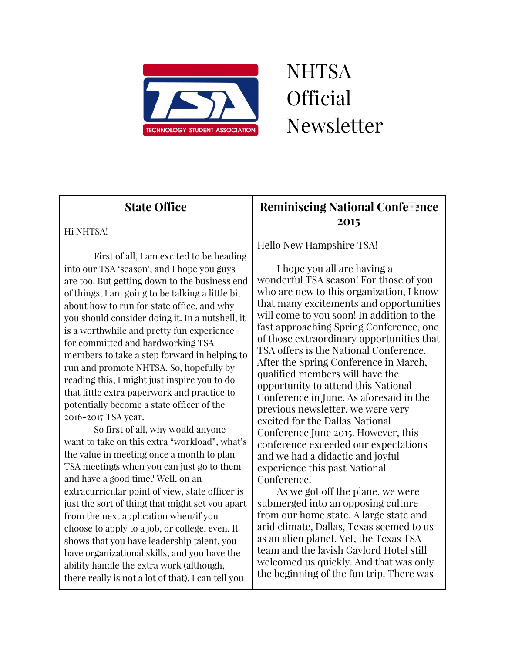

# **NHTSA** Official Newsletter

# State Office

### Hi NHTSA!

First of all, I am excited to be heading into our TSA 'season', and I hope you guys are too! But getting down to the business end of things, I am going to be talking a little bit about how to run for state office, and why you should consider doing it. In a nutshell, it is a worthwhile and pretty fun experience for committed and hardworking TSA members to take a step forward in helping to run and promote NHTSA. So, hopefully by reading this, I might just inspire you to do that little extra paperwork and practice to potentially become a state officer of the 2016-2017 TSA year.

So first of all, why would anyone want to take on this extra "workload", what's the value in meeting once a month to plan TSA meetings when you can just go to them and have a good time? Well, on an extracurricular point of view, state officer is just the sort of thing that might set you apart from the next application when/if you choose to apply to a job, or college, even. It shows that you have leadership talent, you have organizational skills, and you have the ability handle the extra work (although, there really is not a lot of that). I can tell you

# Reminiscing National Conference 2015

Hello New Hampshire TSA!

I hope you all are having a wonderful TSA season! For those of you who are new to this organization, I know that many excitements and opportunities will come to you soon! In addition to the fast approaching Spring Conference, one of those extraordinary opportunities that TSA offers is the National Conference. After the Spring Conference in March, qualified members will have the opportunity to attend this National Conference in June. As aforesaid in the previous newsletter, we were very excited for the Dallas National Conference June 2015. However, this conference exceeded our expectations and we had a didactic and joyful experience this past National Conference!

As we got off the plane, we were submerged into an opposing culture from our home state. A large state and arid climate, Dallas, Texas seemed to us as an alien planet. Yet, the Texas TSA team and the lavish Gaylord Hotel still welcomed us quickly. And that was only the beginning of the fun trip! There was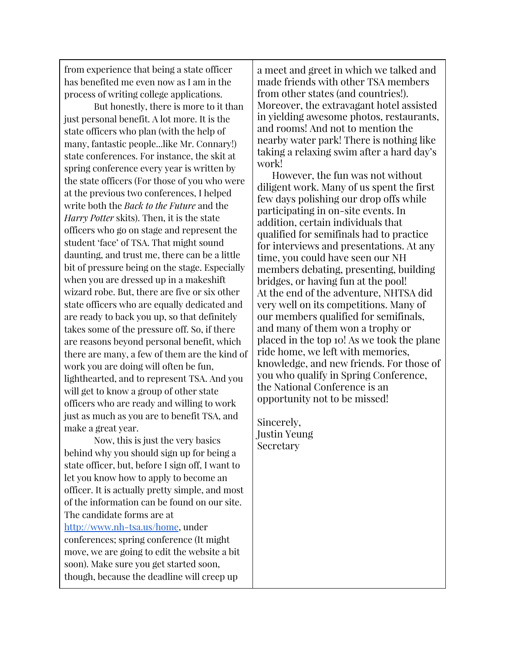from experience that being a state officer has benefited me even now as I am in the process of writing college applications.

But honestly, there is more to it than just personal benefit. A lot more. It is the state officers who plan (with the help of many, fantastic people...like Mr. Connary!) state conferences. For instance, the skit at spring conference every year is written by the state officers (For those of you who were at the previous two conferences, I helped write both the Back to the Future and the Harry Potter skits). Then, it is the state officers who go on stage and represent the student 'face' of TSA. That might sound daunting, and trust me, there can be a little bit of pressure being on the stage. Especially when you are dressed up in a makeshift wizard robe. But, there are five or six other state officers who are equally dedicated and are ready to back you up, so that definitely takes some of the pressure off. So, if there are reasons beyond personal benefit, which there are many, a few of them are the kind of work you are doing will often be fun, lighthearted, and to represent TSA. And you will get to know a group of other state officers who are ready and willing to work just as much as you are to benefit TSA, and make a great year.

Now, this is just the very basics behind why you should sign up for being a state officer, but, before I sign off, I want to let you know how to apply to become an officer. It is actually pretty simple, and most of the information can be found on our site. The candidate forms are at [http://www.nh-tsa.us/home,](http://www.nh-tsa.us/home) under conferences; spring conference (It might move, we are going to edit the website a bit soon). Make sure you get started soon, though, because the deadline will creep up

a meet and greet in which we talked and made friends with other TSA members from other states (and countries!). Moreover, the extravagant hotel assisted in yielding awesome photos, restaurants, and rooms! And not to mention the nearby water park! There is nothing like taking a relaxing swim after a hard day's work!

However, the fun was not without diligent work. Many of us spent the first few days polishing our drop offs while participating in on-site events. In addition, certain individuals that qualified for semifinals had to practice for interviews and presentations. At any time, you could have seen our NH members debating, presenting, building bridges, or having fun at the pool! At the end of the adventure, NHTSA did very well on its competitions. Many of our members qualified for semifinals, and many of them won a trophy or placed in the top 10! As we took the plane ride home, we left with memories, knowledge, and new friends. For those of you who qualify in Spring Conference, the National Conference is an opportunity not to be missed!

Sincerely, Justin Yeung Secretary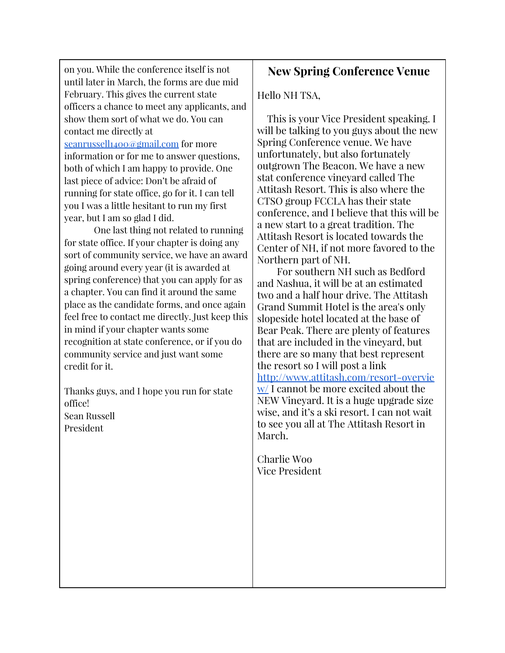on you. While the conference itself is not until later in March, the forms are due mid February. This gives the current state officers a chance to meet any applicants, and show them sort of what we do. You can contact me directly at

[seanrussell1400@gmail.com](mailto:seanrussell1400@gmail.com) for more information or for me to answer questions, both of which I am happy to provide. One last piece of advice: Don't be afraid of running for state office, go for it. I can tell you I was a little hesitant to run my first year, but I am so glad I did.

One last thing not related to running for state office. If your chapter is doing any sort of community service, we have an award going around every year (it is awarded at spring conference) that you can apply for as a chapter. You can find it around the same place as the candidate forms, and once again feel free to contact me directly. Just keep this in mind if your chapter wants some recognition at state conference, or if you do community service and just want some credit for it.

Thanks guys, and I hope you run for state office! Sean Russell President

# New Spring Conference Venue

Hello NH TSA,

This is your Vice President speaking. I will be talking to you guys about the new Spring Conference venue. We have unfortunately, but also fortunately outgrown The Beacon. We have a new stat conference vineyard called The Attitash Resort. This is also where the CTSO group FCCLA has their state conference, and I believe that this will be a new start to a great tradition. The Attitash Resort is located towards the Center of NH, if not more favored to the Northern part of NH.

For southern NH such as Bedford and Nashua, it will be at an estimated two and a half hour drive. The Attitash Grand Summit Hotel is the area's only slopeside hotel located at the base of Bear Peak. There are plenty of features that are included in the vineyard, but there are so many that best represent the resort so I will post a link [http://www.attitash.com/resort-overvie](http://www.attitash.com/resort-overview/) [w/](http://www.attitash.com/resort-overview/) I cannot be more excited about the NEW Vineyard. It is a huge upgrade size wise, and it's a ski resort. I can not wait to see you all at The Attitash Resort in March.

Charlie Woo Vice President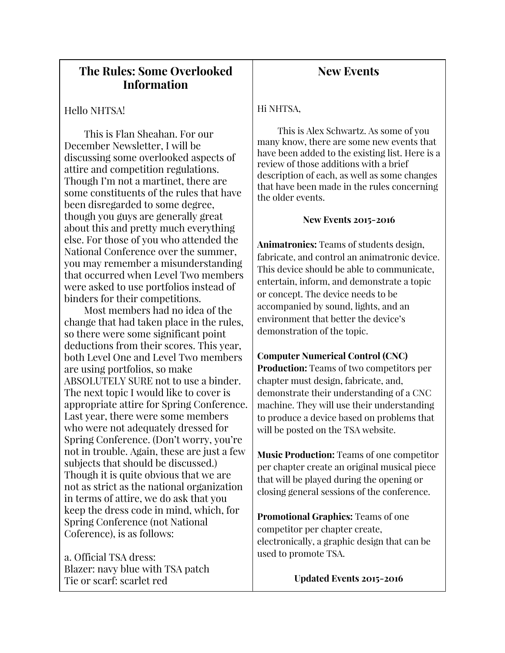## The Rules: Some Overlooked Information

#### Hello NHTSA!

This is Flan Sheahan. For our December Newsletter, I will be discussing some overlooked aspects of attire and competition regulations. Though I'm not a martinet, there are some constituents of the rules that have been disregarded to some degree, though you guys are generally great about this and pretty much everything else. For those of you who attended the National Conference over the summer, you may remember a misunderstanding that occurred when Level Two members were asked to use portfolios instead of binders for their competitions.

Most members had no idea of the change that had taken place in the rules, so there were some significant point deductions from their scores. This year, both Level One and Level Two members are using portfolios, so make ABSOLUTELY SURE not to use a binder. The next topic I would like to cover is appropriate attire for Spring Conference. Last year, there were some members who were not adequately dressed for Spring Conference. (Don't worry, you're not in trouble. Again, these are just a few subjects that should be discussed.) Though it is quite obvious that we are not as strict as the national organization in terms of attire, we do ask that you keep the dress code in mind, which, for Spring Conference (not National Coference), is as follows:

a. Official TSA dress: Blazer: navy blue with TSA patch Tie or scarf: scarlet red

## New Events

#### Hi NHTSA,

This is Alex Schwartz. As some of you many know, there are some new events that have been added to the existing list. Here is a review of those additions with a brief description of each, as well as some changes that have been made in the rules concerning the older events.

#### New Events 2015-2016

Animatronics: Teams of students design, fabricate, and control an animatronic device. This device should be able to communicate, entertain, inform, and demonstrate a topic or concept. The device needs to be accompanied by sound, lights, and an environment that better the device's demonstration of the topic.

#### Computer Numerical Control (CNC)

Production: Teams of two competitors per chapter must design, fabricate, and, demonstrate their understanding of a CNC machine. They will use their understanding to produce a device based on problems that will be posted on the TSA website.

Music Production: Teams of one competitor per chapter create an original musical piece that will be played during the opening or closing general sessions of the conference.

Promotional Graphics: Teams of one competitor per chapter create, electronically, a graphic design that can be used to promote TSA.

Updated Events 2015-2016